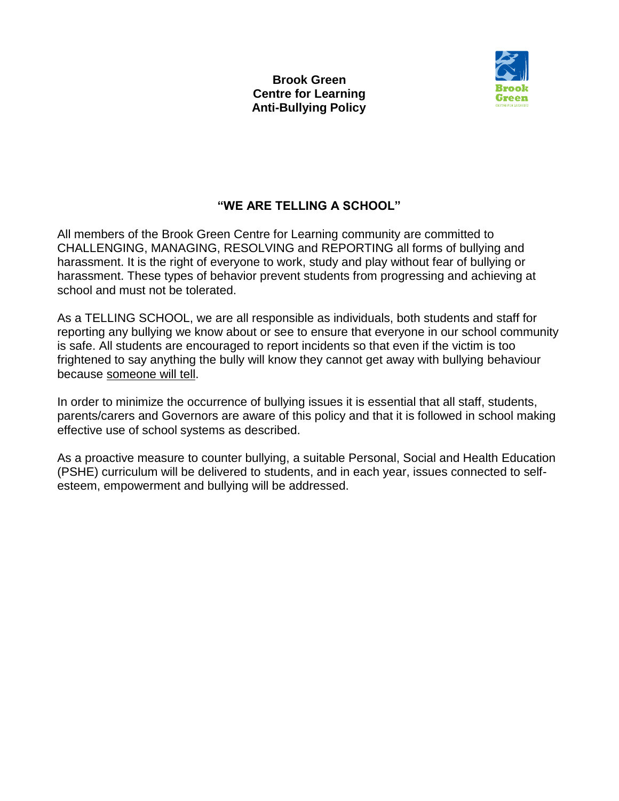

# **"WE ARE TELLING A SCHOOL"**

All members of the Brook Green Centre for Learning community are committed to CHALLENGING, MANAGING, RESOLVING and REPORTING all forms of bullying and harassment. It is the right of everyone to work, study and play without fear of bullying or harassment. These types of behavior prevent students from progressing and achieving at school and must not be tolerated.

As a TELLING SCHOOL, we are all responsible as individuals, both students and staff for reporting any bullying we know about or see to ensure that everyone in our school community is safe. All students are encouraged to report incidents so that even if the victim is too frightened to say anything the bully will know they cannot get away with bullying behaviour because someone will tell.

In order to minimize the occurrence of bullying issues it is essential that all staff, students, parents/carers and Governors are aware of this policy and that it is followed in school making effective use of school systems as described.

As a proactive measure to counter bullying, a suitable Personal, Social and Health Education (PSHE) curriculum will be delivered to students, and in each year, issues connected to selfesteem, empowerment and bullying will be addressed.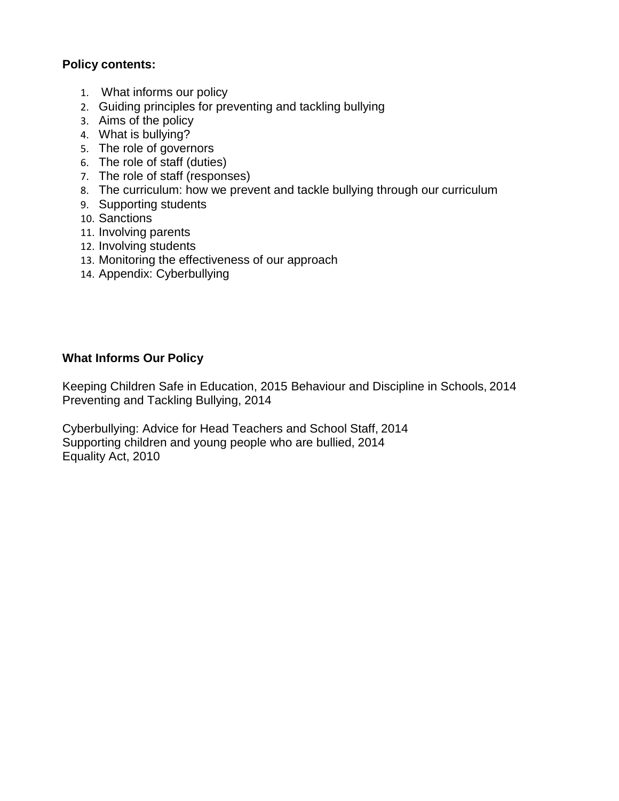### **Policy contents:**

- 1. What informs our policy
- 2. Guiding principles for preventing and tackling bullying
- 3. Aims of the policy
- 4. What is bullying?
- 5. The role of governors
- 6. The role of staff (duties)
- 7. The role of staff (responses)
- 8. The curriculum: how we prevent and tackle bullying through our curriculum
- 9. Supporting students
- 10. Sanctions
- 11. Involving parents
- 12. Involving students
- 13. Monitoring the effectiveness of our approach
- 14. Appendix: Cyberbullying

### **What Informs Our Policy**

Keeping Children Safe in Education, 2015 Behaviour and Discipline in Schools, 2014 Preventing and Tackling Bullying, 2014

Cyberbullying: Advice for Head Teachers and School Staff, 2014 Supporting children and young people who are bullied, 2014 Equality Act, 2010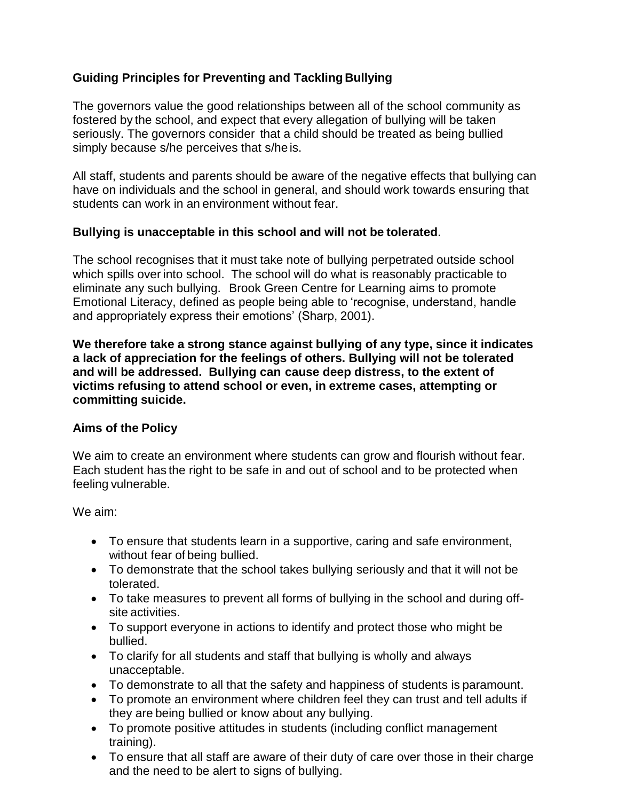## **Guiding Principles for Preventing and Tackling Bullying**

The governors value the good relationships between all of the school community as fostered by the school, and expect that every allegation of bullying will be taken seriously. The governors consider that a child should be treated as being bullied simply because s/he perceives that s/he is.

All staff, students and parents should be aware of the negative effects that bullying can have on individuals and the school in general, and should work towards ensuring that students can work in an environment without fear.

#### **Bullying is unacceptable in this school and will not be tolerated**.

The school recognises that it must take note of bullying perpetrated outside school which spills over into school. The school will do what is reasonably practicable to eliminate any such bullying. Brook Green Centre for Learning aims to promote Emotional Literacy, defined as people being able to 'recognise, understand, handle and appropriately express their emotions' (Sharp, 2001).

**We therefore take a strong stance against bullying of any type, since it indicates a lack of appreciation for the feelings of others. Bullying will not be tolerated and will be addressed. Bullying can cause deep distress, to the extent of victims refusing to attend school or even, in extreme cases, attempting or committing suicide.**

#### **Aims of the Policy**

We aim to create an environment where students can grow and flourish without fear. Each student has the right to be safe in and out of school and to be protected when feeling vulnerable.

We aim:

- To ensure that students learn in a supportive, caring and safe environment, without fear of being bullied.
- To demonstrate that the school takes bullying seriously and that it will not be tolerated.
- To take measures to prevent all forms of bullying in the school and during offsite activities.
- To support everyone in actions to identify and protect those who might be bullied.
- To clarify for all students and staff that bullying is wholly and always unacceptable.
- To demonstrate to all that the safety and happiness of students is paramount.
- To promote an environment where children feel they can trust and tell adults if they are being bullied or know about any bullying.
- To promote positive attitudes in students (including conflict management training).
- To ensure that all staff are aware of their duty of care over those in their charge and the need to be alert to signs of bullying.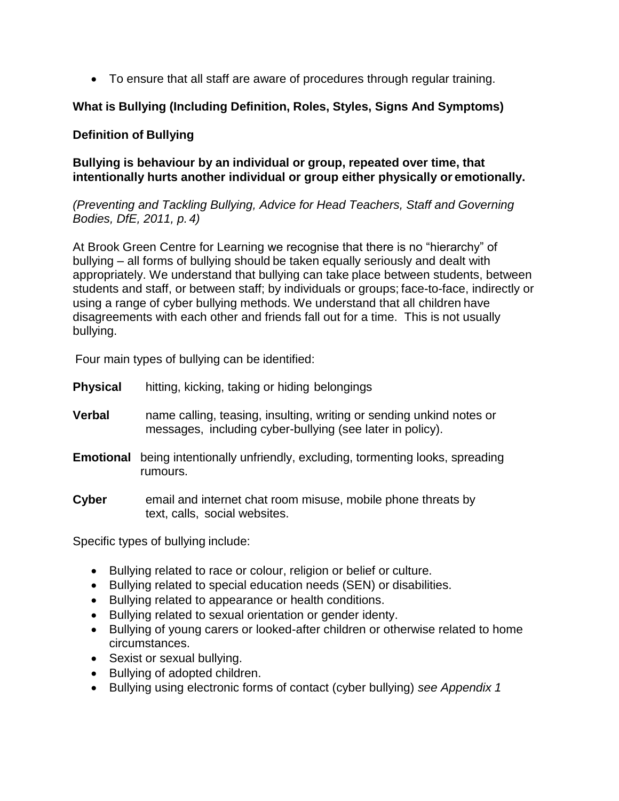To ensure that all staff are aware of procedures through regular training.

### **What is Bullying (Including Definition, Roles, Styles, Signs And Symptoms)**

### **Definition of Bullying**

**Bullying is behaviour by an individual or group, repeated over time, that intentionally hurts another individual or group either physically or emotionally.**

*(Preventing and Tackling Bullying, Advice for Head Teachers, Staff and Governing Bodies, DfE, 2011, p. 4)*

At Brook Green Centre for Learning we recognise that there is no "hierarchy" of bullying – all forms of bullying should be taken equally seriously and dealt with appropriately. We understand that bullying can take place between students, between students and staff, or between staff; by individuals or groups; face-to-face, indirectly or using a range of cyber bullying methods. We understand that all children have disagreements with each other and friends fall out for a time. This is not usually bullying.

Four main types of bullying can be identified:

- **Physical** hitting, kicking, taking or hiding belongings
- **Verbal** name calling, teasing, insulting, writing or sending unkind notes or messages, including cyber-bullying (see later in policy).
- **Emotional** being intentionally unfriendly, excluding, tormenting looks, spreading rumours.
- **Cyber** email and internet chat room misuse, mobile phone threats by text, calls, social websites.

Specific types of bullying include:

- Bullying related to race or colour, religion or belief or culture.
- Bullying related to special education needs (SEN) or disabilities.
- Bullying related to appearance or health conditions.
- Bullying related to sexual orientation or gender identy.
- Bullying of young carers or looked-after children or otherwise related to home circumstances.
- Sexist or sexual bullying.
- Bullying of adopted children.
- Bullying using electronic forms of contact (cyber bullying) *see Appendix 1*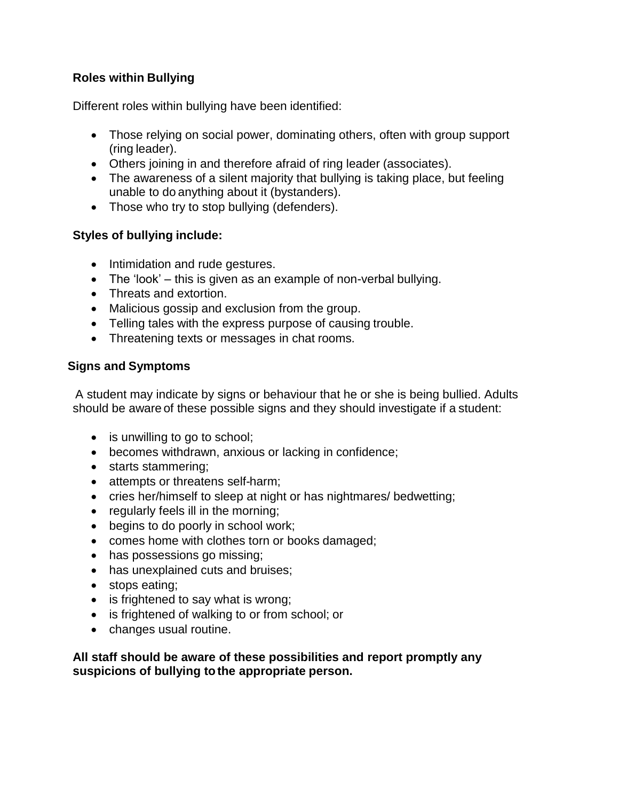### **Roles within Bullying**

Different roles within bullying have been identified:

- Those relying on social power, dominating others, often with group support (ring leader).
- Others joining in and therefore afraid of ring leader (associates).
- The awareness of a silent majority that bullying is taking place, but feeling unable to do anything about it (bystanders).
- Those who try to stop bullying (defenders).

### **Styles of bullying include:**

- Intimidation and rude gestures.
- $\bullet$  The 'look' this is given as an example of non-verbal bullying.
- Threats and extortion.
- Malicious gossip and exclusion from the group.
- Telling tales with the express purpose of causing trouble.
- Threatening texts or messages in chat rooms.

### **Signs and Symptoms**

A student may indicate by signs or behaviour that he or she is being bullied. Adults should be aware of these possible signs and they should investigate if a student:

- is unwilling to go to school;
- becomes withdrawn, anxious or lacking in confidence;
- starts stammering;
- attempts or threatens self-harm;
- cries her/himself to sleep at night or has nightmares/ bedwetting;
- regularly feels ill in the morning;
- begins to do poorly in school work;
- comes home with clothes torn or books damaged;
- has possessions go missing;
- has unexplained cuts and bruises;
- stops eating;
- is frightened to say what is wrong;
- is frightened of walking to or from school; or
- changes usual routine.

**All staff should be aware of these possibilities and report promptly any suspicions of bullying tothe appropriate person.**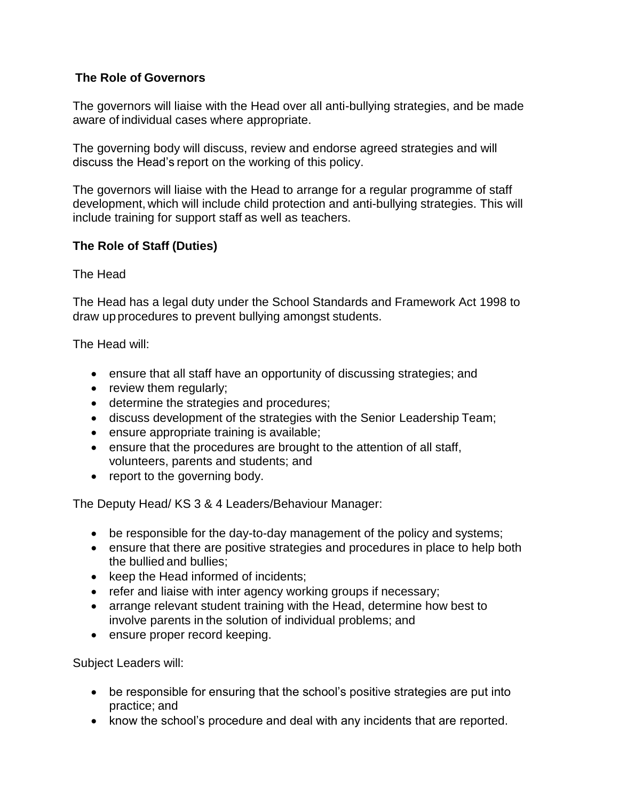### **The Role of Governors**

The governors will liaise with the Head over all anti-bullying strategies, and be made aware of individual cases where appropriate.

The governing body will discuss, review and endorse agreed strategies and will discuss the Head's report on the working of this policy.

The governors will liaise with the Head to arrange for a regular programme of staff development, which will include child protection and anti-bullying strategies. This will include training for support staff as well as teachers.

### **The Role of Staff (Duties)**

The Head

The Head has a legal duty under the School Standards and Framework Act 1998 to draw up procedures to prevent bullying amongst students.

The Head will:

- ensure that all staff have an opportunity of discussing strategies; and
- review them regularly;
- determine the strategies and procedures;
- discuss development of the strategies with the Senior Leadership Team;
- ensure appropriate training is available;
- ensure that the procedures are brought to the attention of all staff, volunteers, parents and students; and
- report to the governing body.

The Deputy Head/ KS 3 & 4 Leaders/Behaviour Manager:

- be responsible for the day-to-day management of the policy and systems;
- ensure that there are positive strategies and procedures in place to help both the bullied and bullies;
- $\bullet$  keep the Head informed of incidents;
- refer and liaise with inter agency working groups if necessary;
- arrange relevant student training with the Head, determine how best to involve parents in the solution of individual problems; and
- ensure proper record keeping.

Subject Leaders will:

- be responsible for ensuring that the school's positive strategies are put into practice; and
- know the school's procedure and deal with any incidents that are reported.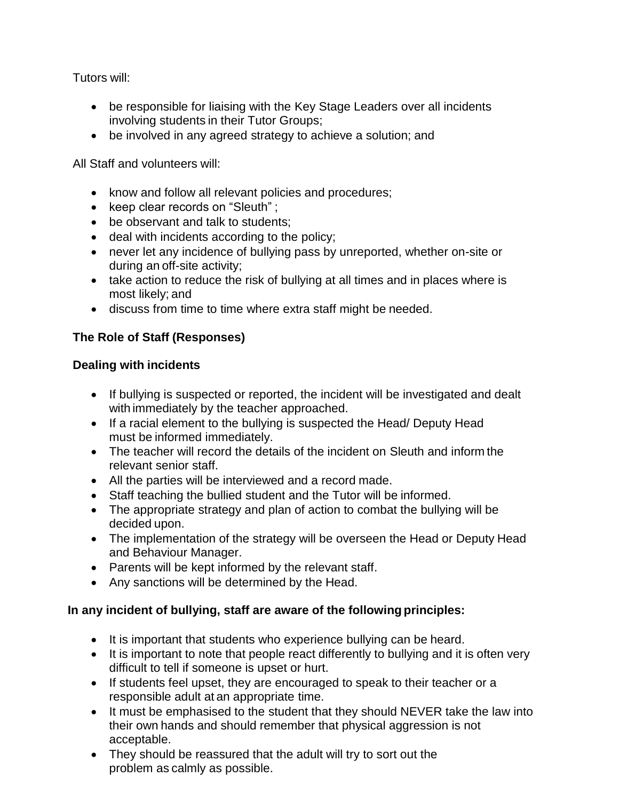Tutors will:

- be responsible for liaising with the Key Stage Leaders over all incidents involving students in their Tutor Groups;
- be involved in any agreed strategy to achieve a solution; and

All Staff and volunteers will:

- know and follow all relevant policies and procedures;
- keep clear records on "Sleuth" ;
- be observant and talk to students;
- deal with incidents according to the policy;
- never let any incidence of bullying pass by unreported, whether on-site or during an off-site activity;
- take action to reduce the risk of bullying at all times and in places where is most likely; and
- discuss from time to time where extra staff might be needed.

## **The Role of Staff (Responses)**

### **Dealing with incidents**

- If bullying is suspected or reported, the incident will be investigated and dealt with immediately by the teacher approached.
- If a racial element to the bullying is suspected the Head/ Deputy Head must be informed immediately.
- The teacher will record the details of the incident on Sleuth and inform the relevant senior staff.
- All the parties will be interviewed and a record made.
- Staff teaching the bullied student and the Tutor will be informed.
- The appropriate strategy and plan of action to combat the bullying will be decided upon.
- The implementation of the strategy will be overseen the Head or Deputy Head and Behaviour Manager.
- Parents will be kept informed by the relevant staff.
- Any sanctions will be determined by the Head.

### **In any incident of bullying, staff are aware of the following principles:**

- It is important that students who experience bullying can be heard.
- It is important to note that people react differently to bullying and it is often very difficult to tell if someone is upset or hurt.
- If students feel upset, they are encouraged to speak to their teacher or a responsible adult at an appropriate time.
- It must be emphasised to the student that they should NEVER take the law into their own hands and should remember that physical aggression is not acceptable.
- They should be reassured that the adult will try to sort out the problem as calmly as possible.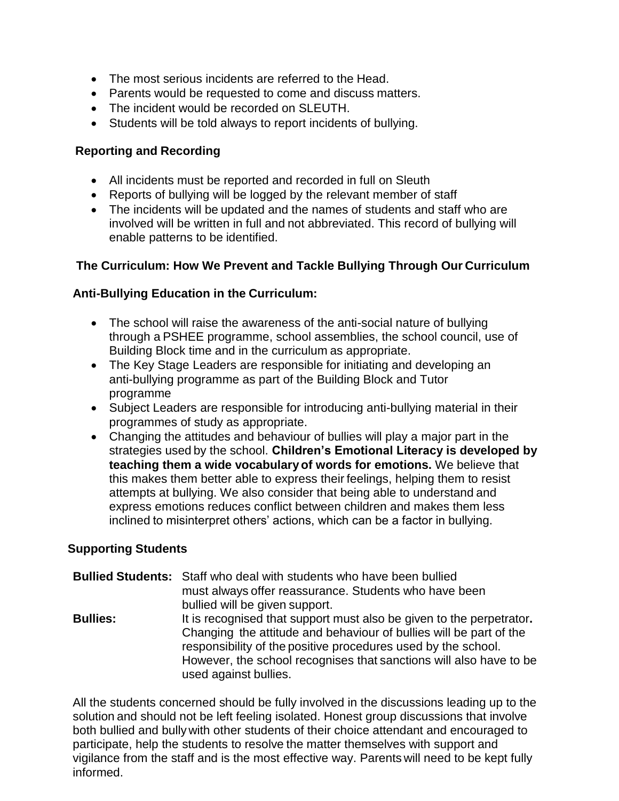- The most serious incidents are referred to the Head.
- Parents would be requested to come and discuss matters.
- The incident would be recorded on SLEUTH.
- Students will be told always to report incidents of bullying.

#### **Reporting and Recording**

- All incidents must be reported and recorded in full on Sleuth
- Reports of bullying will be logged by the relevant member of staff
- The incidents will be updated and the names of students and staff who are involved will be written in full and not abbreviated. This record of bullying will enable patterns to be identified.

### **The Curriculum: How We Prevent and Tackle Bullying Through Our Curriculum**

### **Anti-Bullying Education in the Curriculum:**

- The school will raise the awareness of the anti-social nature of bullying through a PSHEE programme, school assemblies, the school council, use of Building Block time and in the curriculum as appropriate.
- The Key Stage Leaders are responsible for initiating and developing an anti-bullying programme as part of the Building Block and Tutor programme
- Subject Leaders are responsible for introducing anti-bullying material in their programmes of study as appropriate.
- Changing the attitudes and behaviour of bullies will play a major part in the strategies used by the school. **Children's Emotional Literacy is developed by teaching them a wide vocabulary of words for emotions.** We believe that this makes them better able to express their feelings, helping them to resist attempts at bullying. We also consider that being able to understand and express emotions reduces conflict between children and makes them less inclined to misinterpret others' actions, which can be a factor in bullying.

### **Supporting Students**

**Bullied Students:** Staff who deal with students who have been bullied must always offer reassurance. Students who have been bullied will be given support. **Bullies:** It is recognised that support must also be given to the perpetrator. Changing the attitude and behaviour of bullies will be part of the responsibility of the positive procedures used by the school. However, the school recognises that sanctions will also have to be used against bullies.

All the students concerned should be fully involved in the discussions leading up to the solution and should not be left feeling isolated. Honest group discussions that involve both bullied and bully with other students of their choice attendant and encouraged to participate, help the students to resolve the matter themselves with support and vigilance from the staff and is the most effective way. Parents will need to be kept fully informed.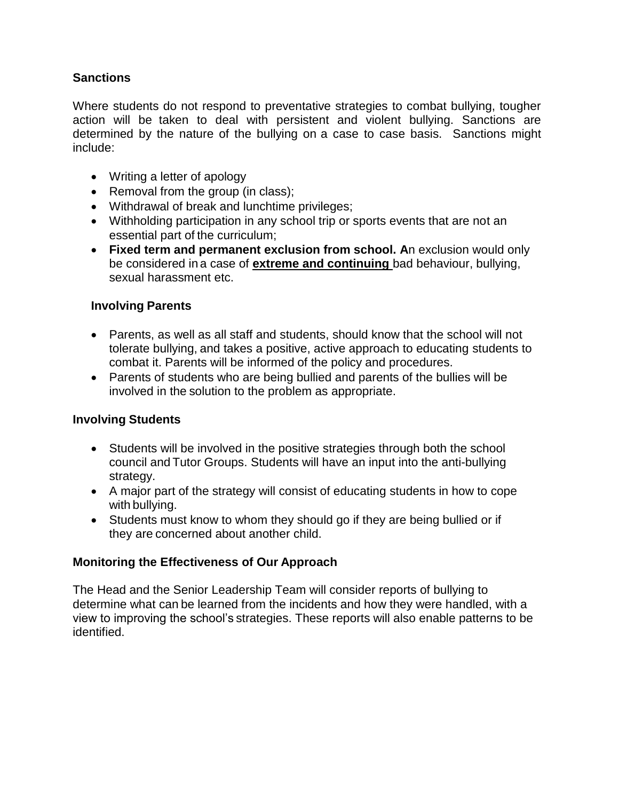### **Sanctions**

Where students do not respond to preventative strategies to combat bullying, tougher action will be taken to deal with persistent and violent bullying. Sanctions are determined by the nature of the bullying on a case to case basis. Sanctions might include:

- Writing a letter of apology
- Removal from the group (in class);
- Withdrawal of break and lunchtime privileges;
- Withholding participation in any school trip or sports events that are not an essential part of the curriculum;
- **Fixed term and permanent exclusion from school. A**n exclusion would only be considered in a case of **extreme and continuing** bad behaviour, bullying, sexual harassment etc.

#### **Involving Parents**

- Parents, as well as all staff and students, should know that the school will not tolerate bullying, and takes a positive, active approach to educating students to combat it. Parents will be informed of the policy and procedures.
- Parents of students who are being bullied and parents of the bullies will be involved in the solution to the problem as appropriate.

#### **Involving Students**

- Students will be involved in the positive strategies through both the school council and Tutor Groups. Students will have an input into the anti-bullying strategy.
- A major part of the strategy will consist of educating students in how to cope with bullying.
- Students must know to whom they should go if they are being bullied or if they are concerned about another child.

#### **Monitoring the Effectiveness of Our Approach**

The Head and the Senior Leadership Team will consider reports of bullying to determine what can be learned from the incidents and how they were handled, with a view to improving the school's strategies. These reports will also enable patterns to be identified.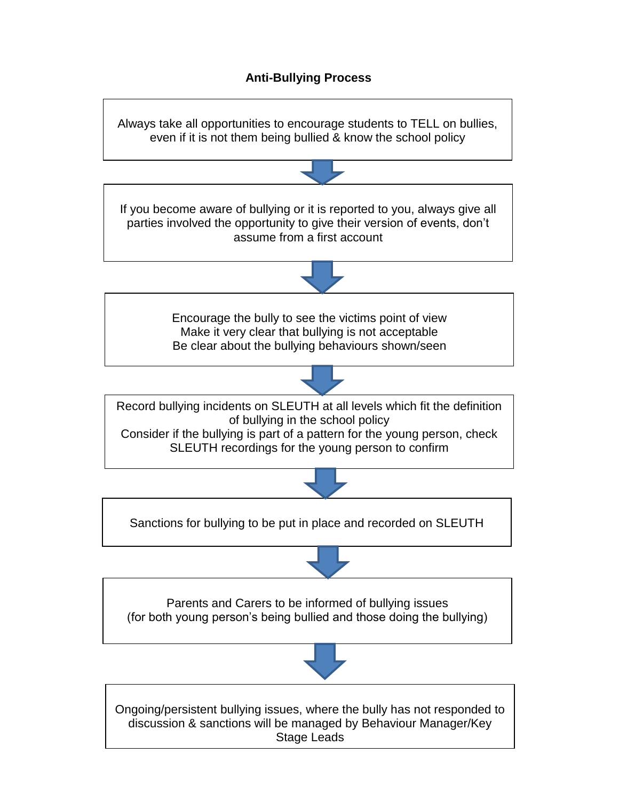### **Anti-Bullying Process**

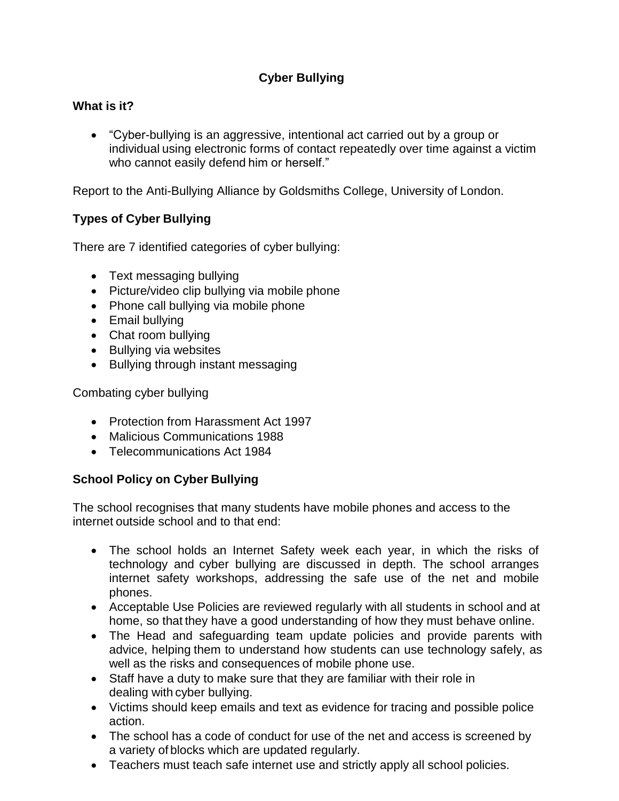## **Cyber Bullying**

### **What is it?**

 "Cyber-bullying is an aggressive, intentional act carried out by a group or individual using electronic forms of contact repeatedly over time against a victim who cannot easily defend him or herself."

Report to the Anti-Bullying Alliance by Goldsmiths College, University of London.

### **Types of Cyber Bullying**

There are 7 identified categories of cyber bullying:

- Text messaging bullying
- Picture/video clip bullying via mobile phone
- Phone call bullying via mobile phone
- Email bullying
- Chat room bullying
- Bullying via websites
- Bullying through instant messaging

Combating cyber bullying

- Protection from Harassment Act 1997
- Malicious Communications 1988
- Telecommunications Act 1984

### **School Policy on Cyber Bullying**

The school recognises that many students have mobile phones and access to the internet outside school and to that end:

- The school holds an Internet Safety week each year, in which the risks of technology and cyber bullying are discussed in depth. The school arranges internet safety workshops, addressing the safe use of the net and mobile phones.
- Acceptable Use Policies are reviewed regularly with all students in school and at home, so that they have a good understanding of how they must behave online.
- The Head and safeguarding team update policies and provide parents with advice, helping them to understand how students can use technology safely, as well as the risks and consequences of mobile phone use.
- Staff have a duty to make sure that they are familiar with their role in dealing with cyber bullying.
- Victims should keep emails and text as evidence for tracing and possible police action.
- The school has a code of conduct for use of the net and access is screened by a variety of blocks which are updated regularly.
- Teachers must teach safe internet use and strictly apply all school policies.